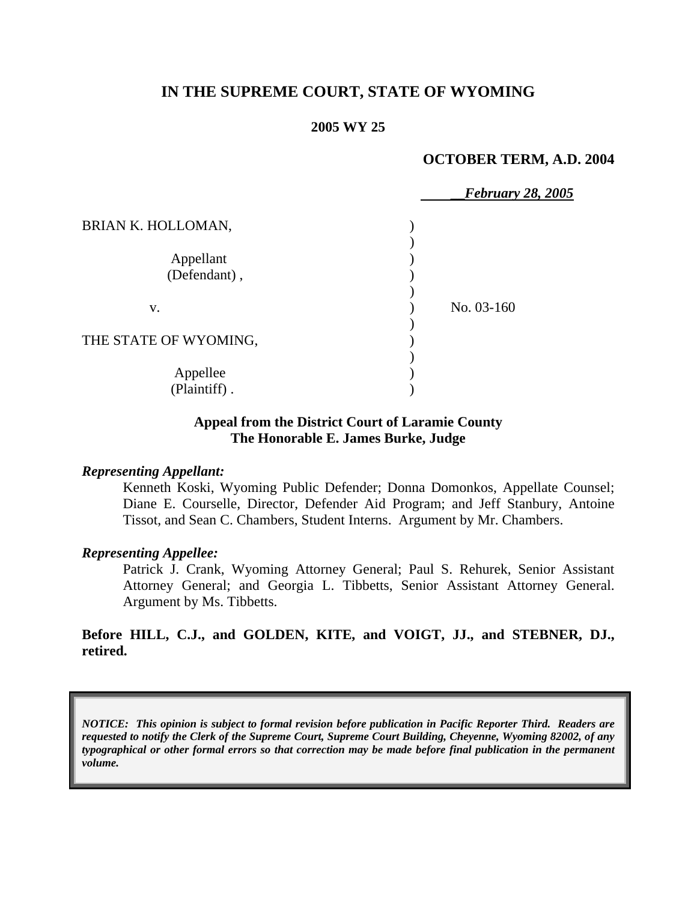## **IN THE SUPREME COURT, STATE OF WYOMING**

#### **2005 WY 25**

#### **OCTOBER TERM, A.D. 2004**

|                       | <b>February 28, 2005</b> |  |
|-----------------------|--------------------------|--|
| BRIAN K. HOLLOMAN,    |                          |  |
|                       |                          |  |
| Appellant             |                          |  |
| (Defendant),          |                          |  |
|                       |                          |  |
| V.                    | No. 03-160               |  |
|                       |                          |  |
| THE STATE OF WYOMING, |                          |  |
|                       |                          |  |
| Appellee              |                          |  |
| (Plaintiff).          |                          |  |

### **Appeal from the District Court of Laramie County The Honorable E. James Burke, Judge**

#### *Representing Appellant:*

Kenneth Koski, Wyoming Public Defender; Donna Domonkos, Appellate Counsel; Diane E. Courselle, Director, Defender Aid Program; and Jeff Stanbury, Antoine Tissot, and Sean C. Chambers, Student Interns. Argument by Mr. Chambers.

#### *Representing Appellee:*

Patrick J. Crank, Wyoming Attorney General; Paul S. Rehurek, Senior Assistant Attorney General; and Georgia L. Tibbetts, Senior Assistant Attorney General. Argument by Ms. Tibbetts.

### **Before HILL, C.J., and GOLDEN, KITE, and VOIGT, JJ., and STEBNER, DJ., retired.**

*NOTICE: This opinion is subject to formal revision before publication in Pacific Reporter Third. Readers are requested to notify the Clerk of the Supreme Court, Supreme Court Building, Cheyenne, Wyoming 82002, of any typographical or other formal errors so that correction may be made before final publication in the permanent volume.*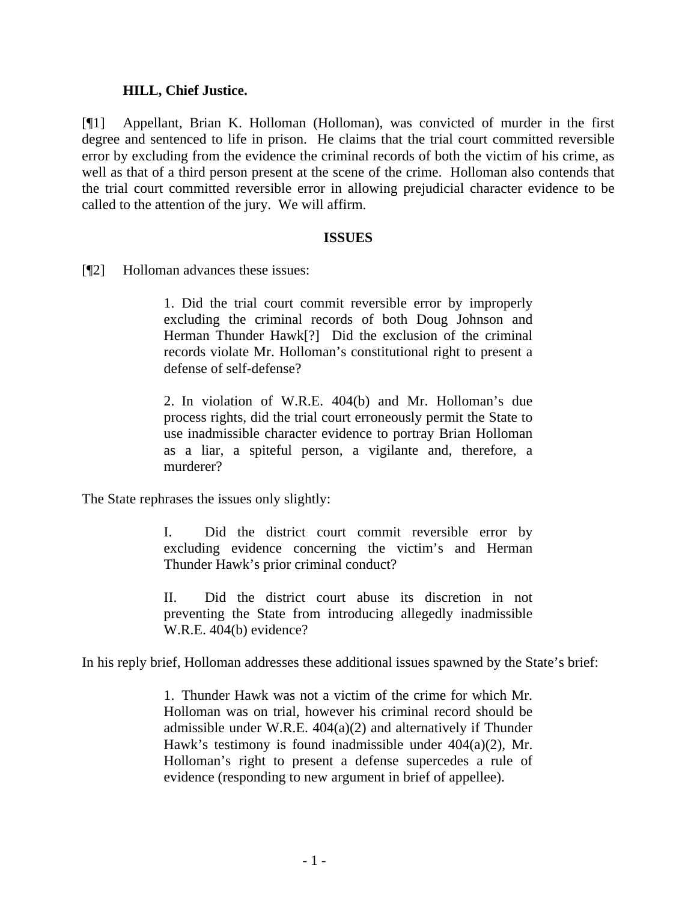### **HILL, Chief Justice.**

[¶1] Appellant, Brian K. Holloman (Holloman), was convicted of murder in the first degree and sentenced to life in prison. He claims that the trial court committed reversible error by excluding from the evidence the criminal records of both the victim of his crime, as well as that of a third person present at the scene of the crime. Holloman also contends that the trial court committed reversible error in allowing prejudicial character evidence to be called to the attention of the jury. We will affirm.

### **ISSUES**

[¶2] Holloman advances these issues:

1. Did the trial court commit reversible error by improperly excluding the criminal records of both Doug Johnson and Herman Thunder Hawk[?] Did the exclusion of the criminal records violate Mr. Holloman's constitutional right to present a defense of self-defense?

2. In violation of W.R.E. 404(b) and Mr. Holloman's due process rights, did the trial court erroneously permit the State to use inadmissible character evidence to portray Brian Holloman as a liar, a spiteful person, a vigilante and, therefore, a murderer?

The State rephrases the issues only slightly:

I. Did the district court commit reversible error by excluding evidence concerning the victim's and Herman Thunder Hawk's prior criminal conduct?

II. Did the district court abuse its discretion in not preventing the State from introducing allegedly inadmissible W.R.E. 404(b) evidence?

In his reply brief, Holloman addresses these additional issues spawned by the State's brief:

1. Thunder Hawk was not a victim of the crime for which Mr. Holloman was on trial, however his criminal record should be admissible under W.R.E. 404(a)(2) and alternatively if Thunder Hawk's testimony is found inadmissible under 404(a)(2), Mr. Holloman's right to present a defense supercedes a rule of evidence (responding to new argument in brief of appellee).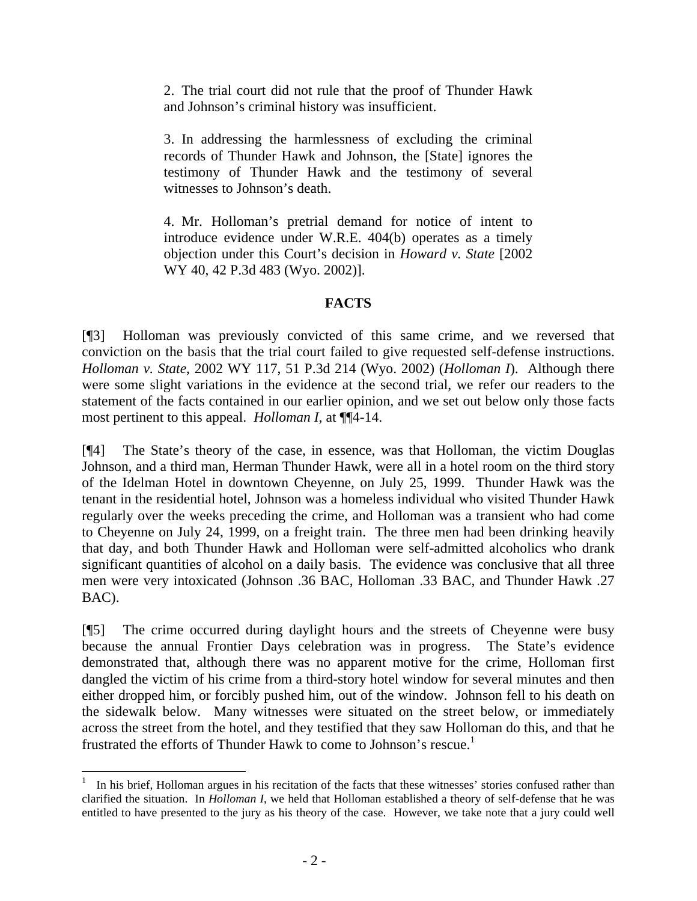2. The trial court did not rule that the proof of Thunder Hawk and Johnson's criminal history was insufficient.

3. In addressing the harmlessness of excluding the criminal records of Thunder Hawk and Johnson, the [State] ignores the testimony of Thunder Hawk and the testimony of several witnesses to Johnson's death.

4. Mr. Holloman's pretrial demand for notice of intent to introduce evidence under W.R.E. 404(b) operates as a timely objection under this Court's decision in *Howard v. State* [2002 WY 40, 42 P.3d 483 (Wyo. 2002)].

## **FACTS**

[¶3] Holloman was previously convicted of this same crime, and we reversed that conviction on the basis that the trial court failed to give requested self-defense instructions. *Holloman v. State*, 2002 WY 117, 51 P.3d 214 (Wyo. 2002) (*Holloman I*). Although there were some slight variations in the evidence at the second trial, we refer our readers to the statement of the facts contained in our earlier opinion, and we set out below only those facts most pertinent to this appeal. *Holloman I*, at ¶¶4-14.

[¶4] The State's theory of the case, in essence, was that Holloman, the victim Douglas Johnson, and a third man, Herman Thunder Hawk, were all in a hotel room on the third story of the Idelman Hotel in downtown Cheyenne, on July 25, 1999. Thunder Hawk was the tenant in the residential hotel, Johnson was a homeless individual who visited Thunder Hawk regularly over the weeks preceding the crime, and Holloman was a transient who had come to Cheyenne on July 24, 1999, on a freight train. The three men had been drinking heavily that day, and both Thunder Hawk and Holloman were self-admitted alcoholics who drank significant quantities of alcohol on a daily basis. The evidence was conclusive that all three men were very intoxicated (Johnson .36 BAC, Holloman .33 BAC, and Thunder Hawk .27 BAC).

[¶5] The crime occurred during daylight hours and the streets of Cheyenne were busy because the annual Frontier Days celebration was in progress. The State's evidence demonstrated that, although there was no apparent motive for the crime, Holloman first dangled the victim of his crime from a third-story hotel window for several minutes and then either dropped him, or forcibly pushed him, out of the window. Johnson fell to his death on the sidewalk below. Many witnesses were situated on the street below, or immediately across the street from the hotel, and they testified that they saw Holloman do this, and that he frustrated the efforts of Thunder Hawk to come to Johnson's rescue.<sup>[1](#page-3-0)</sup>

<span id="page-3-0"></span> 1 In his brief, Holloman argues in his recitation of the facts that these witnesses' stories confused rather than clarified the situation. In *Holloman I*, we held that Holloman established a theory of self-defense that he was entitled to have presented to the jury as his theory of the case. However, we take note that a jury could well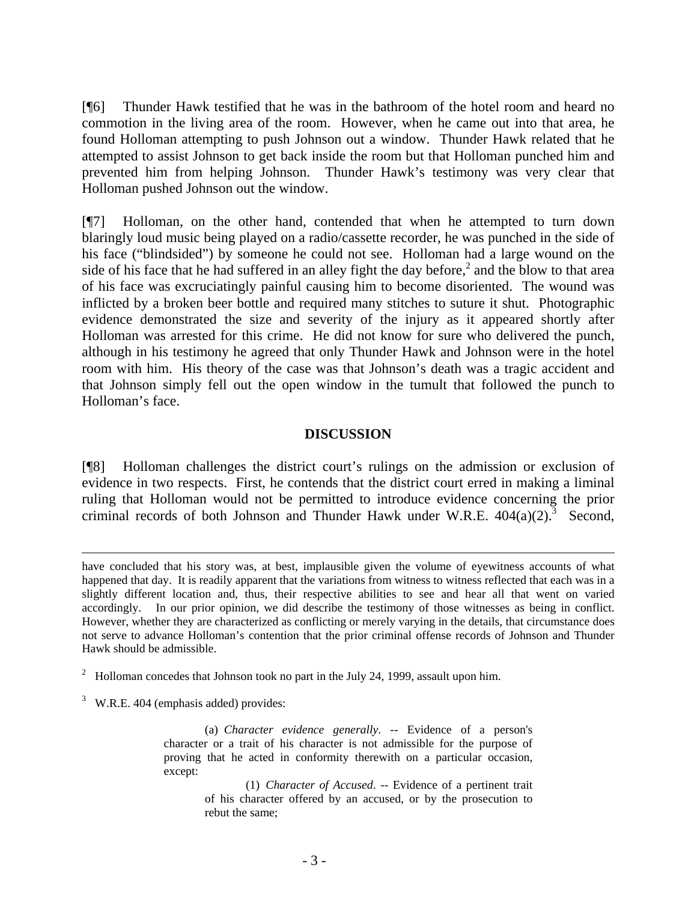[¶6] Thunder Hawk testified that he was in the bathroom of the hotel room and heard no commotion in the living area of the room. However, when he came out into that area, he found Holloman attempting to push Johnson out a window. Thunder Hawk related that he attempted to assist Johnson to get back inside the room but that Holloman punched him and prevented him from helping Johnson. Thunder Hawk's testimony was very clear that Holloman pushed Johnson out the window.

[¶7] Holloman, on the other hand, contended that when he attempted to turn down blaringly loud music being played on a radio/cassette recorder, he was punched in the side of his face ("blindsided") by someone he could not see. Holloman had a large wound on the side of his face that he had suffered in an alley fight the day before, $<sup>2</sup>$  $<sup>2</sup>$  $<sup>2</sup>$  and the blow to that area</sup> of his face was excruciatingly painful causing him to become disoriented. The wound was inflicted by a broken beer bottle and required many stitches to suture it shut. Photographic evidence demonstrated the size and severity of the injury as it appeared shortly after Holloman was arrested for this crime. He did not know for sure who delivered the punch, although in his testimony he agreed that only Thunder Hawk and Johnson were in the hotel room with him. His theory of the case was that Johnson's death was a tragic accident and that Johnson simply fell out the open window in the tumult that followed the punch to Holloman's face.

### **DISCUSSION**

[¶8] Holloman challenges the district court's rulings on the admission or exclusion of evidence in two respects. First, he contends that the district court erred in making a liminal ruling that Holloman would not be permitted to introduce evidence concerning the prior criminal records of both Johnson and Thunder Hawk under W.R.E.  $404(a)(2)$ .<sup>3</sup> Second,

<span id="page-4-0"></span><sup>2</sup> Holloman concedes that Johnson took no part in the July 24, 1999, assault upon him.

<span id="page-4-1"></span> $3$  W.R.E. 404 (emphasis added) provides:

 $\overline{a}$ 

 (a) *Character evidence generally*. -- Evidence of a person's character or a trait of his character is not admissible for the purpose of proving that he acted in conformity therewith on a particular occasion, except:

> (1) *Character of Accused*. -- Evidence of a pertinent trait of his character offered by an accused, or by the prosecution to rebut the same;

have concluded that his story was, at best, implausible given the volume of eyewitness accounts of what happened that day. It is readily apparent that the variations from witness to witness reflected that each was in a slightly different location and, thus, their respective abilities to see and hear all that went on varied accordingly. In our prior opinion, we did describe the testimony of those witnesses as being in conflict. However, whether they are characterized as conflicting or merely varying in the details, that circumstance does not serve to advance Holloman's contention that the prior criminal offense records of Johnson and Thunder Hawk should be admissible.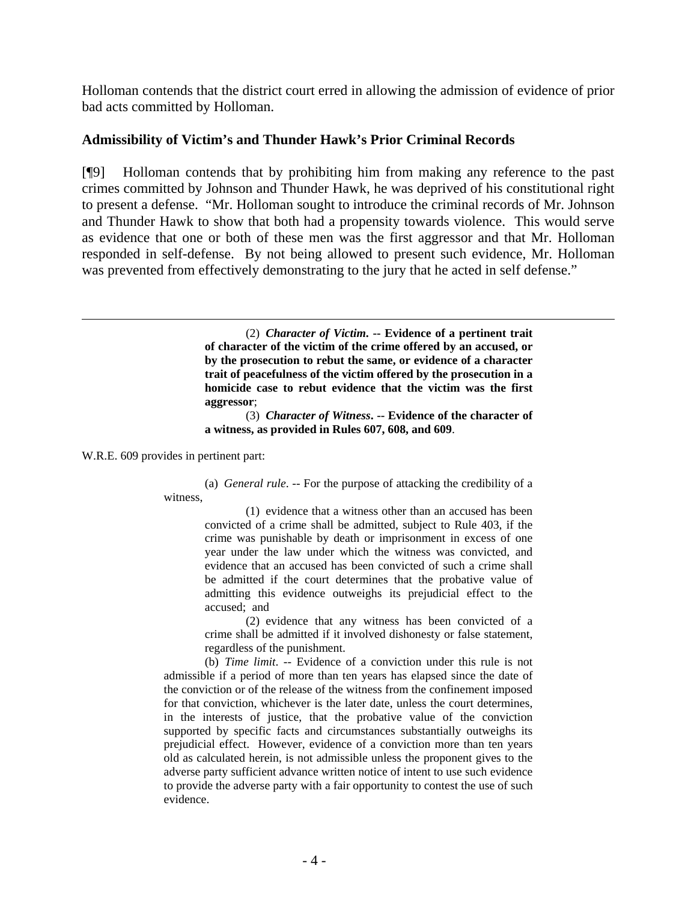Holloman contends that the district court erred in allowing the admission of evidence of prior bad acts committed by Holloman.

## **Admissibility of Victim's and Thunder Hawk's Prior Criminal Records**

[¶9] Holloman contends that by prohibiting him from making any reference to the past crimes committed by Johnson and Thunder Hawk, he was deprived of his constitutional right to present a defense. "Mr. Holloman sought to introduce the criminal records of Mr. Johnson and Thunder Hawk to show that both had a propensity towards violence. This would serve as evidence that one or both of these men was the first aggressor and that Mr. Holloman responded in self-defense. By not being allowed to present such evidence, Mr. Holloman was prevented from effectively demonstrating to the jury that he acted in self defense."

> (2) *Character of Victim***. -- Evidence of a pertinent trait of character of the victim of the crime offered by an accused, or by the prosecution to rebut the same, or evidence of a character trait of peacefulness of the victim offered by the prosecution in a homicide case to rebut evidence that the victim was the first aggressor**;

> (3) *Character of Witness***. -- Evidence of the character of a witness, as provided in Rules 607, 608, and 609**.

W.R.E. 609 provides in pertinent part:

(a) *General rule*. -- For the purpose of attacking the credibility of a witness,

> (1) evidence that a witness other than an accused has been convicted of a crime shall be admitted, subject to Rule 403, if the crime was punishable by death or imprisonment in excess of one year under the law under which the witness was convicted, and evidence that an accused has been convicted of such a crime shall be admitted if the court determines that the probative value of admitting this evidence outweighs its prejudicial effect to the accused; and

> (2) evidence that any witness has been convicted of a crime shall be admitted if it involved dishonesty or false statement, regardless of the punishment.

(b) *Time limit*. -- Evidence of a conviction under this rule is not admissible if a period of more than ten years has elapsed since the date of the conviction or of the release of the witness from the confinement imposed for that conviction, whichever is the later date, unless the court determines, in the interests of justice, that the probative value of the conviction supported by specific facts and circumstances substantially outweighs its prejudicial effect. However, evidence of a conviction more than ten years old as calculated herein, is not admissible unless the proponent gives to the adverse party sufficient advance written notice of intent to use such evidence to provide the adverse party with a fair opportunity to contest the use of such evidence.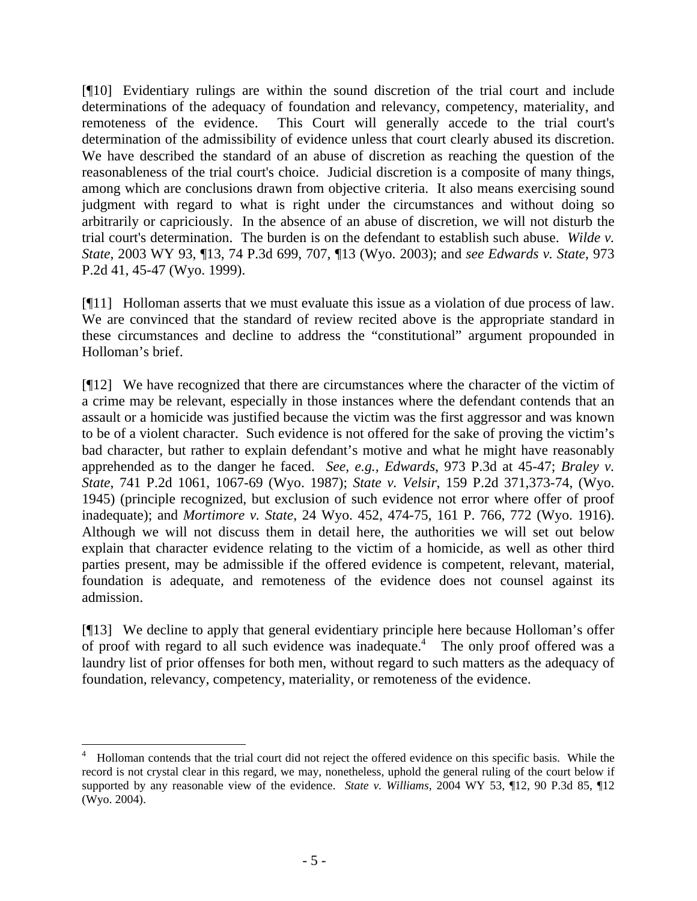[¶10] Evidentiary rulings are within the sound discretion of the trial court and include determinations of the adequacy of foundation and relevancy, competency, materiality, and remoteness of the evidence. This Court will generally accede to the trial court's determination of the admissibility of evidence unless that court clearly abused its discretion. We have described the standard of an abuse of discretion as reaching the question of the reasonableness of the trial court's choice. Judicial discretion is a composite of many things, among which are conclusions drawn from objective criteria. It also means exercising sound judgment with regard to what is right under the circumstances and without doing so arbitrarily or capriciously. In the absence of an abuse of discretion, we will not disturb the trial court's determination. The burden is on the defendant to establish such abuse. *Wilde v. State*, 2003 WY 93, ¶13, 74 P.3d 699, 707, ¶13 (Wyo. 2003); and *see Edwards v. State*, 973 P.2d 41, 45-47 (Wyo. 1999).

[¶11] Holloman asserts that we must evaluate this issue as a violation of due process of law. We are convinced that the standard of review recited above is the appropriate standard in these circumstances and decline to address the "constitutional" argument propounded in Holloman's brief.

[¶12] We have recognized that there are circumstances where the character of the victim of a crime may be relevant, especially in those instances where the defendant contends that an assault or a homicide was justified because the victim was the first aggressor and was known to be of a violent character. Such evidence is not offered for the sake of proving the victim's bad character, but rather to explain defendant's motive and what he might have reasonably apprehended as to the danger he faced. *See, e.g., Edwards*, 973 P.3d at 45-47; *Braley v. State*, 741 P.2d 1061, 1067-69 (Wyo. 1987); *State v. Velsir*, 159 P.2d 371,373-74, (Wyo. 1945) (principle recognized, but exclusion of such evidence not error where offer of proof inadequate); and *Mortimore v. State*, 24 Wyo. 452, 474-75, 161 P. 766, 772 (Wyo. 1916). Although we will not discuss them in detail here, the authorities we will set out below explain that character evidence relating to the victim of a homicide, as well as other third parties present, may be admissible if the offered evidence is competent, relevant, material, foundation is adequate, and remoteness of the evidence does not counsel against its admission.

[¶13] We decline to apply that general evidentiary principle here because Holloman's offer ofproof with regard to all such evidence was inadequate.<sup>4</sup> The only proof offered was a laundry list of prior offenses for both men, without regard to such matters as the adequacy of foundation, relevancy, competency, materiality, or remoteness of the evidence.

 $\overline{a}$ 

<span id="page-6-0"></span><sup>4</sup> Holloman contends that the trial court did not reject the offered evidence on this specific basis. While the record is not crystal clear in this regard, we may, nonetheless, uphold the general ruling of the court below if supported by any reasonable view of the evidence. *State v. Williams*, 2004 WY 53, ¶12, 90 P.3d 85, ¶12 (Wyo. 2004).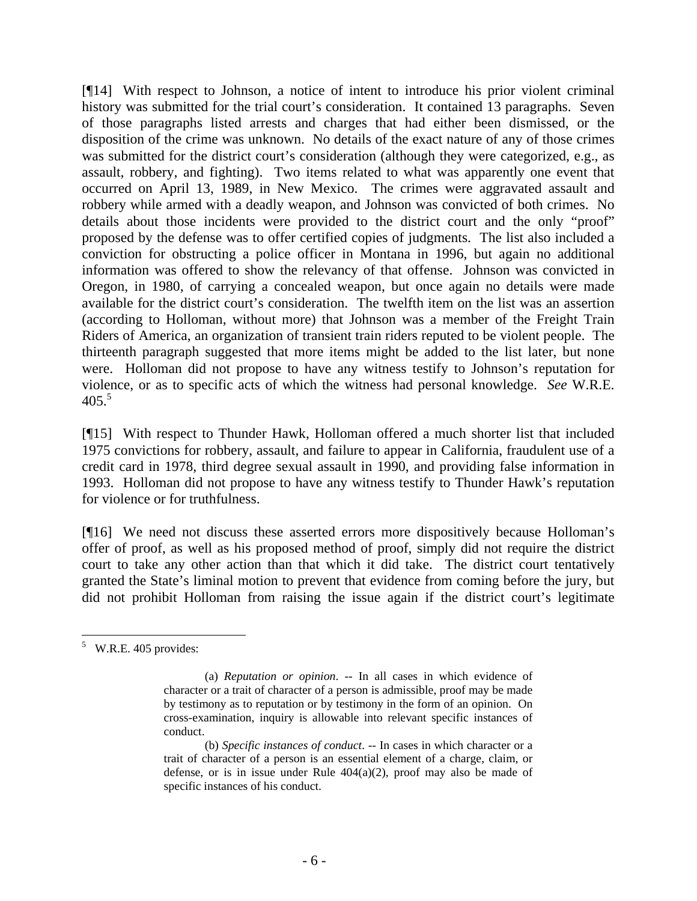[¶14] With respect to Johnson, a notice of intent to introduce his prior violent criminal history was submitted for the trial court's consideration. It contained 13 paragraphs. Seven of those paragraphs listed arrests and charges that had either been dismissed, or the disposition of the crime was unknown. No details of the exact nature of any of those crimes was submitted for the district court's consideration (although they were categorized, e.g., as assault, robbery, and fighting). Two items related to what was apparently one event that occurred on April 13, 1989, in New Mexico. The crimes were aggravated assault and robbery while armed with a deadly weapon, and Johnson was convicted of both crimes. No details about those incidents were provided to the district court and the only "proof" proposed by the defense was to offer certified copies of judgments. The list also included a conviction for obstructing a police officer in Montana in 1996, but again no additional information was offered to show the relevancy of that offense. Johnson was convicted in Oregon, in 1980, of carrying a concealed weapon, but once again no details were made available for the district court's consideration. The twelfth item on the list was an assertion (according to Holloman, without more) that Johnson was a member of the Freight Train Riders of America, an organization of transient train riders reputed to be violent people. The thirteenth paragraph suggested that more items might be added to the list later, but none were. Holloman did not propose to have any witness testify to Johnson's reputation for violence, or as to specific acts of which the witness had personal knowledge. *See* W.R.E.  $405.<sup>5</sup>$  $405.<sup>5</sup>$  $405.<sup>5</sup>$ 

[¶15] With respect to Thunder Hawk, Holloman offered a much shorter list that included 1975 convictions for robbery, assault, and failure to appear in California, fraudulent use of a credit card in 1978, third degree sexual assault in 1990, and providing false information in 1993. Holloman did not propose to have any witness testify to Thunder Hawk's reputation for violence or for truthfulness.

[¶16] We need not discuss these asserted errors more dispositively because Holloman's offer of proof, as well as his proposed method of proof, simply did not require the district court to take any other action than that which it did take. The district court tentatively granted the State's liminal motion to prevent that evidence from coming before the jury, but did not prohibit Holloman from raising the issue again if the district court's legitimate

<span id="page-7-0"></span>  $5$  W.R.E. 405 provides:

 <sup>(</sup>a) *Reputation or opinion*. -- In all cases in which evidence of character or a trait of character of a person is admissible, proof may be made by testimony as to reputation or by testimony in the form of an opinion. On cross-examination, inquiry is allowable into relevant specific instances of conduct.

 <sup>(</sup>b) *Specific instances of conduct*. -- In cases in which character or a trait of character of a person is an essential element of a charge, claim, or defense, or is in issue under Rule  $404(a)(2)$ , proof may also be made of specific instances of his conduct.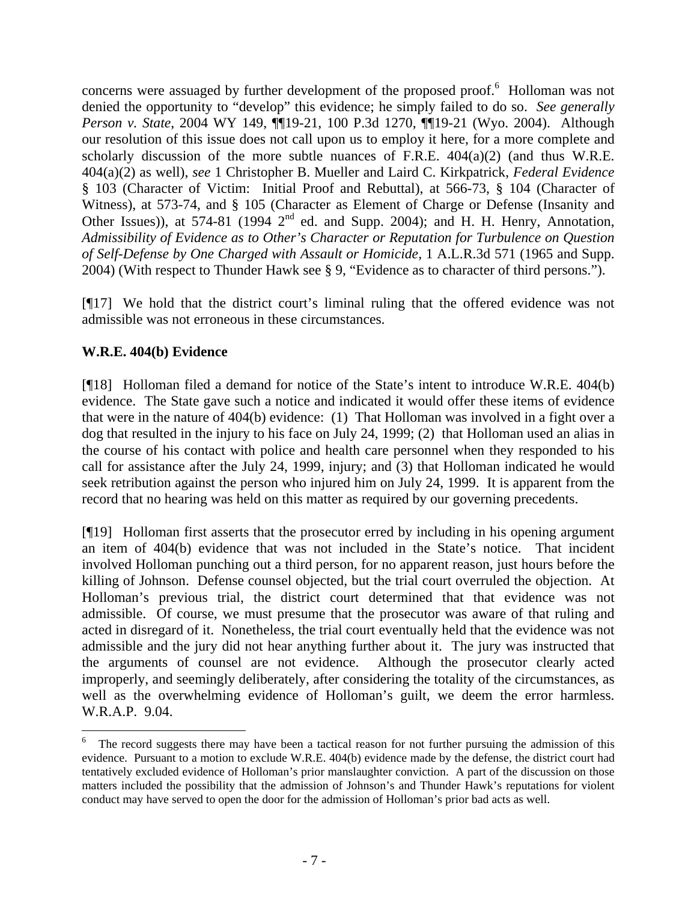concernswere assuaged by further development of the proposed proof.<sup>6</sup> Holloman was not denied the opportunity to "develop" this evidence; he simply failed to do so. *See generally Person v. State*, 2004 WY 149, ¶¶19-21, 100 P.3d 1270, ¶¶19-21 (Wyo. 2004). Although our resolution of this issue does not call upon us to employ it here, for a more complete and scholarly discussion of the more subtle nuances of F.R.E. 404(a)(2) (and thus W.R.E. 404(a)(2) as well), *see* 1 Christopher B. Mueller and Laird C. Kirkpatrick, *Federal Evidence* § 103 (Character of Victim: Initial Proof and Rebuttal), at 566-73, § 104 (Character of Witness), at 573-74, and § 105 (Character as Element of Charge or Defense (Insanity and Other Issues)), at 574-81 (1994 2<sup>nd</sup> ed. and Supp. 2004); and H. H. Henry, Annotation, *Admissibility of Evidence as to Other's Character or Reputation for Turbulence on Question of Self-Defense by One Charged with Assault or Homicide*, 1 A.L.R.3d 571 (1965 and Supp. 2004) (With respect to Thunder Hawk see § 9, "Evidence as to character of third persons.").

[¶17] We hold that the district court's liminal ruling that the offered evidence was not admissible was not erroneous in these circumstances.

# **W.R.E. 404(b) Evidence**

 $\overline{a}$ 

[¶18] Holloman filed a demand for notice of the State's intent to introduce W.R.E. 404(b) evidence. The State gave such a notice and indicated it would offer these items of evidence that were in the nature of 404(b) evidence: (1) That Holloman was involved in a fight over a dog that resulted in the injury to his face on July 24, 1999; (2) that Holloman used an alias in the course of his contact with police and health care personnel when they responded to his call for assistance after the July 24, 1999, injury; and (3) that Holloman indicated he would seek retribution against the person who injured him on July 24, 1999. It is apparent from the record that no hearing was held on this matter as required by our governing precedents.

[¶19] Holloman first asserts that the prosecutor erred by including in his opening argument an item of 404(b) evidence that was not included in the State's notice. That incident involved Holloman punching out a third person, for no apparent reason, just hours before the killing of Johnson. Defense counsel objected, but the trial court overruled the objection. At Holloman's previous trial, the district court determined that that evidence was not admissible. Of course, we must presume that the prosecutor was aware of that ruling and acted in disregard of it. Nonetheless, the trial court eventually held that the evidence was not admissible and the jury did not hear anything further about it. The jury was instructed that the arguments of counsel are not evidence. Although the prosecutor clearly acted improperly, and seemingly deliberately, after considering the totality of the circumstances, as well as the overwhelming evidence of Holloman's guilt, we deem the error harmless. W.R.A.P. 9.04.

<span id="page-8-0"></span><sup>6</sup> The record suggests there may have been a tactical reason for not further pursuing the admission of this evidence. Pursuant to a motion to exclude W.R.E. 404(b) evidence made by the defense, the district court had tentatively excluded evidence of Holloman's prior manslaughter conviction. A part of the discussion on those matters included the possibility that the admission of Johnson's and Thunder Hawk's reputations for violent conduct may have served to open the door for the admission of Holloman's prior bad acts as well.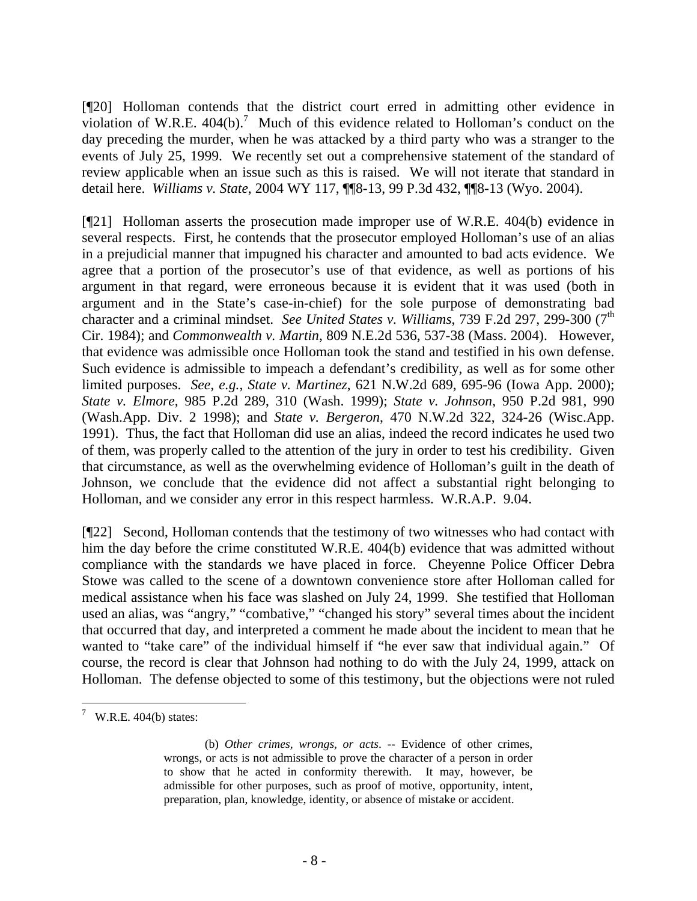[¶20] Holloman contends that the district court erred in admitting other evidence in violation of W.R.E.  $404(b)$ .<sup>[7](#page-9-0)</sup> Much of this evidence related to Holloman's conduct on the day preceding the murder, when he was attacked by a third party who was a stranger to the events of July 25, 1999. We recently set out a comprehensive statement of the standard of review applicable when an issue such as this is raised. We will not iterate that standard in detail here. *Williams v. State*, 2004 WY 117, ¶¶8-13, 99 P.3d 432, ¶¶8-13 (Wyo. 2004).

[¶21] Holloman asserts the prosecution made improper use of W.R.E. 404(b) evidence in several respects. First, he contends that the prosecutor employed Holloman's use of an alias in a prejudicial manner that impugned his character and amounted to bad acts evidence. We agree that a portion of the prosecutor's use of that evidence, as well as portions of his argument in that regard, were erroneous because it is evident that it was used (both in argument and in the State's case-in-chief) for the sole purpose of demonstrating bad character and a criminal mindset. *See United States v. Williams*, 739 F.2d 297, 299-300 (7<sup>th</sup> Cir. 1984); and *Commonwealth v. Martin*, 809 N.E.2d 536, 537-38 (Mass. 2004). However, that evidence was admissible once Holloman took the stand and testified in his own defense. Such evidence is admissible to impeach a defendant's credibility, as well as for some other limited purposes. *See, e.g.*, *State v. Martinez*, 621 N.W.2d 689, 695-96 (Iowa App. 2000); *State v. Elmore*, 985 P.2d 289, 310 (Wash. 1999); *State v. Johnson*, 950 P.2d 981, 990 (Wash.App. Div. 2 1998); and *State v. Bergeron*, 470 N.W.2d 322, 324-26 (Wisc.App. 1991). Thus, the fact that Holloman did use an alias, indeed the record indicates he used two of them, was properly called to the attention of the jury in order to test his credibility. Given that circumstance, as well as the overwhelming evidence of Holloman's guilt in the death of Johnson, we conclude that the evidence did not affect a substantial right belonging to Holloman, and we consider any error in this respect harmless. W.R.A.P. 9.04.

[¶22] Second, Holloman contends that the testimony of two witnesses who had contact with him the day before the crime constituted W.R.E. 404(b) evidence that was admitted without compliance with the standards we have placed in force. Cheyenne Police Officer Debra Stowe was called to the scene of a downtown convenience store after Holloman called for medical assistance when his face was slashed on July 24, 1999. She testified that Holloman used an alias, was "angry," "combative," "changed his story" several times about the incident that occurred that day, and interpreted a comment he made about the incident to mean that he wanted to "take care" of the individual himself if "he ever saw that individual again." Of course, the record is clear that Johnson had nothing to do with the July 24, 1999, attack on Holloman. The defense objected to some of this testimony, but the objections were not ruled

<span id="page-9-0"></span> $\sqrt{7}$  W.R.E. 404(b) states:

<sup>(</sup>b) *Other crimes, wrongs, or acts*. -- Evidence of other crimes, wrongs, or acts is not admissible to prove the character of a person in order to show that he acted in conformity therewith. It may, however, be admissible for other purposes, such as proof of motive, opportunity, intent, preparation, plan, knowledge, identity, or absence of mistake or accident.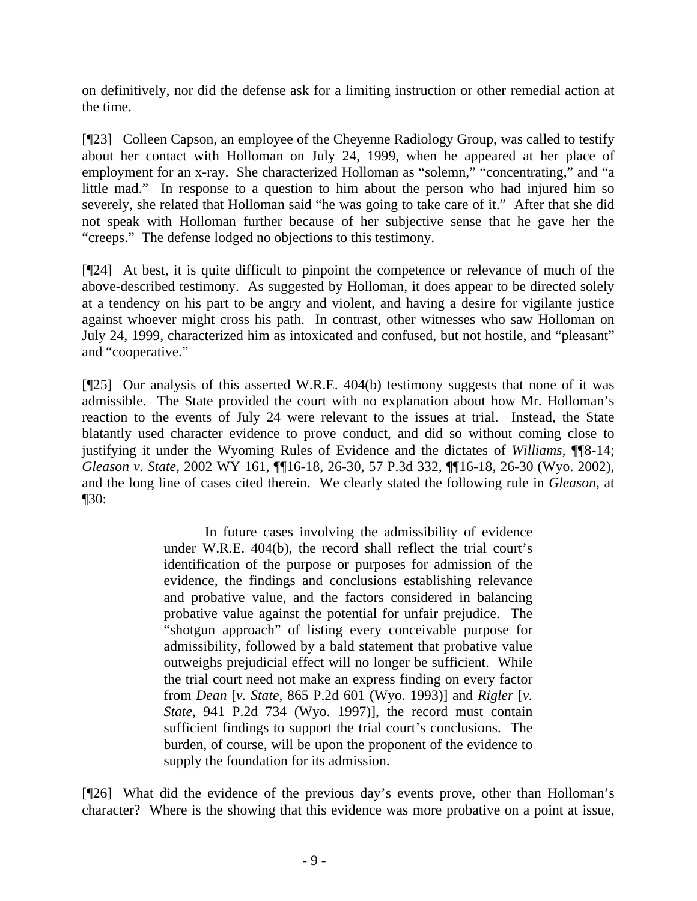on definitively, nor did the defense ask for a limiting instruction or other remedial action at the time.

[¶23] Colleen Capson, an employee of the Cheyenne Radiology Group, was called to testify about her contact with Holloman on July 24, 1999, when he appeared at her place of employment for an x-ray. She characterized Holloman as "solemn," "concentrating," and "a little mad." In response to a question to him about the person who had injured him so severely, she related that Holloman said "he was going to take care of it." After that she did not speak with Holloman further because of her subjective sense that he gave her the "creeps." The defense lodged no objections to this testimony.

[¶24] At best, it is quite difficult to pinpoint the competence or relevance of much of the above-described testimony. As suggested by Holloman, it does appear to be directed solely at a tendency on his part to be angry and violent, and having a desire for vigilante justice against whoever might cross his path. In contrast, other witnesses who saw Holloman on July 24, 1999, characterized him as intoxicated and confused, but not hostile, and "pleasant" and "cooperative."

[¶25] Our analysis of this asserted W.R.E. 404(b) testimony suggests that none of it was admissible. The State provided the court with no explanation about how Mr. Holloman's reaction to the events of July 24 were relevant to the issues at trial. Instead, the State blatantly used character evidence to prove conduct, and did so without coming close to justifying it under the Wyoming Rules of Evidence and the dictates of *Williams,* ¶¶8-14; *Gleason v. State,* 2002 WY 161, ¶¶16-18, 26-30, 57 P.3d 332, ¶¶16-18, 26-30 (Wyo. 2002), and the long line of cases cited therein. We clearly stated the following rule in *Gleason,* at ¶30:

> In future cases involving the admissibility of evidence under W.R.E. 404(b), the record shall reflect the trial court's identification of the purpose or purposes for admission of the evidence, the findings and conclusions establishing relevance and probative value, and the factors considered in balancing probative value against the potential for unfair prejudice. The "shotgun approach" of listing every conceivable purpose for admissibility, followed by a bald statement that probative value outweighs prejudicial effect will no longer be sufficient. While the trial court need not make an express finding on every factor from *Dean* [*v. State*, 865 P.2d 601 (Wyo. 1993)] and *Rigler* [*v. State,* 941 P.2d 734 (Wyo. 1997)], the record must contain sufficient findings to support the trial court's conclusions. The burden, of course, will be upon the proponent of the evidence to supply the foundation for its admission.

[¶26] What did the evidence of the previous day's events prove, other than Holloman's character? Where is the showing that this evidence was more probative on a point at issue,